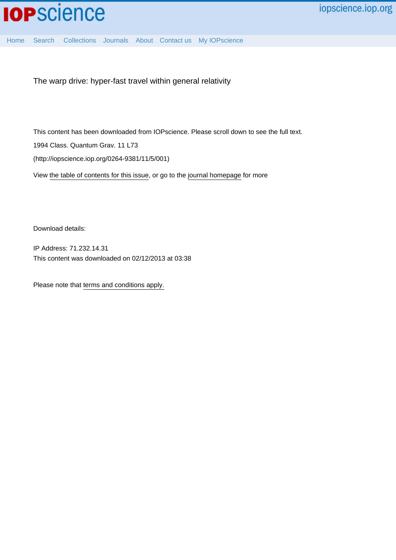[Home](http://iopscience.iop.org/) [Search](http://iopscience.iop.org/search) [Collections](http://iopscience.iop.org/collections) [Journals](http://iopscience.iop.org/journals) [About](http://iopscience.iop.org/page/aboutioppublishing) [Contact us](http://iopscience.iop.org/contact) [My IOPscience](http://iopscience.iop.org/myiopscience)

The warp drive: hyper-fast travel within general relativity

This content has been downloaded from IOPscience. Please scroll down to see the full text.

1994 Class. Quantum Grav. 11 L73

(http://iopscience.iop.org/0264-9381/11/5/001)

View [the table of contents for this issue](http://iopscience.iop.org/0264-9381/11/5), or go to the [journal homepage](http://iopscience.iop.org/0264-9381) for more

Download details:

IP Address: 71.232.14.31 This content was downloaded on 02/12/2013 at 03:38

Please note that [terms and conditions apply.](iopscience.iop.org/page/terms)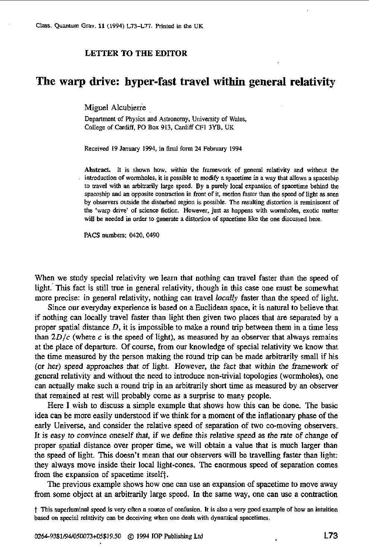## **LETTER TO THE EDITOR**

# **The warp drive: hyper-fast travel within general relativity**

Miguel Alcubierre

Depmment of Physics and Astronomy, University of **Wales,**  College of Cardiff, PO **Box** 913. **Cardiff** CFI **3YB,** UK

Received 19 January 1994, in final form 24 February 1994

**Abstract** It is shown how, within the framework of general relativity and without **the**  introduction Of wormholes, it is possible to modify **a spacetime in a** way that allows *a* spaceship to travel with an arbitrarily large speed. By a purely local expansion of spacetime behind the spaceship and an opposite contraction in front of it, motion faster than the speed of light as seen by observers outside the disturbed region is possible. The resulting distortion is reminiscent of the **'warp drive'** of science fiction. However, just **as** happens with wormholes, *exotic* matter will be needed in order to generate a distortion of spacetime like the one discussed here.

PACS numbers: 0420, 0490

When we study special relativity we learn that nothing can travel faster than the speed of light. This fact is still true in general relativity, though in this case one must be somewhat more precise: in general relativity, nothing can travel *locally* faster than the speed of light.

Since our everyday experience is based **on** a Euclidean space, it is natural to believe that if nothing can locally travel faster than light then given two places that are separated by a proper spatial distance *D,* it is impossible to make a round trip between them in a time less than  $2D/c$  (where c is the speed of light), as measured by an observer that always remains at the place of departure. Of course, from our knowledge of special relativity we know that the time measured by the person making the round trip can be made arbitrarily small if his (or her) speed approaches that of light. However, the fact that within the framework *of*  general relativity and without the need to introduce non-trivial topologies (wormholes), one can actually make such a round trip in an arbitrarily short time **as** measured by an observer that remained at rest will probably come **as** a surprise to many people.

Here **I** wish to discuss a simple example that shows how this can be done. The basic idea can be more easily understood if we think for a moment **of** the inflationary phase of the early Universe, and consider the relative speed of separation of two co-moving observers. **It is easy** to convince oneself that, if we define this relative speed **as** the rate of change **of**  proper spatial distance over proper time, we will obtain a value that is much larger than the speed of light. This doesn't mean that our observers will be travelling faster than light: they always move inside their local light-cones. The enormous speed of separation comes from the expansion of spacetime itselft.

The previous example shows how one can use an expansion of spacetime to move away from some object at an arbitrarily large speed. In the same way, one can **use a** contraction

t This superluminal **speed** is very often a source of confusion. It is also **a** very good example of how **an** intuition based on **special** relativity can be deceiving when one deals with dynamical spacetimes.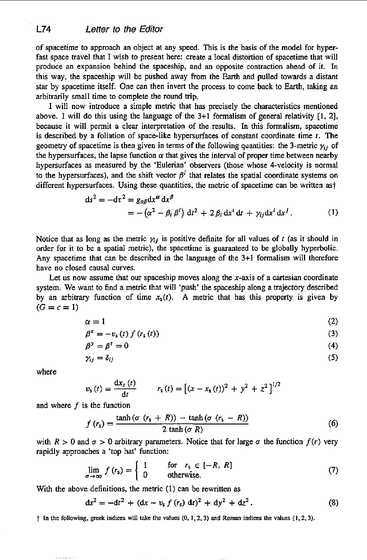of spacetime to approach an object at any speed. This is the basis of the model for hyperfast space travel that I wish to present here: create a local distortion of spacetime that will produce an expansion behind the spaceship, and an opposite contraction ahead of **it. In**  this way, the spaceship will be pushed away from the Earth and pulled towards a distant star by spacetime itself. One can then invert the process to come back to Earth, taking an arbitrarily small time to complete the round trip.

I will now introduce a simple metric that has precisely the characteristics mentioned above. I will do this using the language of the 3+1 formalism of general relativity [1, 2], because it will permit a clear interpretation of the results. In this formalism, spacetime is described by a foliation of spacelike hypersurfaces of constant coordinate time *t.* The geometry of spacetime is then given in terms of the following quantities: the 3-metric  $\gamma_{ij}$  of the hypersurfaces, the lapse function  $\alpha$  that gives the interval of proper time between nearby hypersurfaces as measured by the 'Eulerian' observers (those whose 4-velocity is normal to the hypersurfaces), and the shift vector  $\beta^i$  that relates the spatial coordinate systems on different hypersurfaces. Using these quantities, the metric **of** spacetime can be written **ast** 

$$
ds^{2} = -d\tau^{2} = g_{\alpha\beta}dx^{\alpha} dx^{\beta}
$$
  
=  $-(\alpha^{2} - \beta_{i}\beta^{i}) dt^{2} + 2\beta_{i} dx^{i} dt + \gamma_{ij} dx^{i} dx^{j}$ . (1)

Notice that as long as the metric  $\gamma_{ij}$  is positive definite for all values of *t* (as it should in order for it to be a spatial metric), the spacetime is guaranteed to be globally hyperbolic. Any spacetime that can be described in the language of the 3+1 formalism will therefore have no closed causal curves.

Let us now assume that our spaceship moves along the  $x$ -axis of a cartesian coordinate system. We want to find a metric that will 'push' the spaceship along a trajectory described by an arbitrary function of time  $x_5(t)$ . A metric that has this property is given by  $(G = c = 1)$ 

$$
\alpha = 1 \tag{2}
$$

$$
\beta^x = -v_s(t) f(r_s(t)) \tag{3}
$$

$$
\beta^y = \beta^z = 0 \tag{4}
$$

$$
\gamma_{ij} = \delta_{ij} \tag{5}
$$

where

$$
v_{s}(t) = \frac{dx_{s}(t)}{dt} \qquad r_{s}(t) = [(x - x_{s}(t))^{2} + y^{2} + z^{2}]^{1/2}
$$

and where *f* is the function

$$
f(r_s) = \frac{\tanh(\sigma (r_s + R)) - \tanh(\sigma (r_s - R))}{2 \tanh(\sigma R)}
$$
(6)

with  $R > 0$  and  $\sigma > 0$  arbitrary parameters. Notice that for large  $\sigma$  the function  $f(r)$  very rapidly approaches a 'top hat' function:

$$
\lim_{\sigma \to \infty} f(r_{\rm s}) = \begin{cases} 1 & \text{for } r_{\rm s} \in [-R, R] \\ 0 & \text{otherwise.} \end{cases}
$$
 (7)

With the above definitions, the metric (1) can be rewritten **as** 

$$
ds2 = -dt2 + (dx - vs f (rs) dt)2 + dy2 + dz2.
$$
 (8)

t **In** *the* **following, greek indices will kke the values** *(0.* **I, 2.3) and** Roman **indices the values (1.2.3),**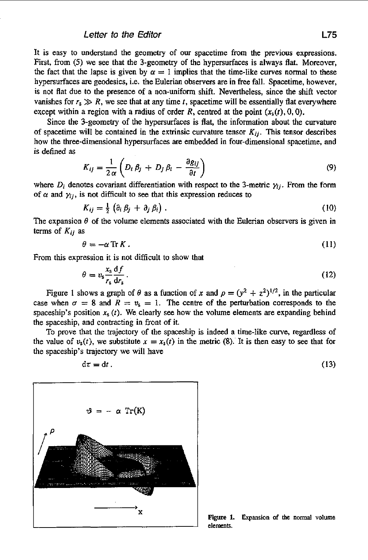It is easy to understand the geometry of our spacetime from the previous expressions. First, from **(5)** we see that the 3-geometry of the hypersurfaces is always flat. Moreover, the fact that the lapse is given by  $\alpha = 1$  implies that the time-like curves normal to these hypersurfaces **are** geodesics, i.e. the Eulerian observers are in free fall. Spacetime, however, *is* not flat due to the presence of a non-uniform shift. Nevertheless, since the shift vector vanishes for  $r_s \gg R$ , we see that at any time *t*, spacetime will be essentially flat everywhere except within a region with a radius of order *R*, centred at the point  $(x<sub>s</sub>(t), 0, 0)$ .

Since the 3-geometry of the hypersurfaces is flat, the information about the curvature of spacetime will be contained in the extrinsic curvature tensor  $K_{ij}$ . This tensor describes how the three-dimensional hypersurfaces are embedded in four-dimensional spacetime, and is defined **as** 

$$
K_{ij} = \frac{1}{2\alpha} \left( D_i \beta_j + D_j \beta_i - \frac{\partial g_{ij}}{\partial t} \right)
$$
 (9)

where  $D_i$  denotes covariant differentiation with respect to the 3-metric  $\gamma_i$ . From the form of  $\alpha$  and  $\gamma_{ij}$ , is not difficult to see that this expression reduces to

$$
K_{ij} = \frac{1}{2} \left( \partial_i \beta_j + \partial_j \beta_i \right). \tag{10}
$$

The expansion  $\theta$  of the volume elements associated with the Eulerian observers is given in terms of *Kij* **as** 

$$
\theta = -\alpha \operatorname{Tr} K \,. \tag{11}
$$

From this expression it is not difficult to show that

$$
\theta = v_s \frac{x_s}{r_s} \frac{\mathrm{d}f}{\mathrm{d}r_s} \,. \tag{12}
$$

Figure 1 shows a graph of  $\theta$  as a function of *x* and  $\rho = (y^2 + z^2)^{1/2}$ , in the particular case when  $\sigma = 8$  and  $R = v_s = 1$ . The centre of the perturbation corresponds to the spaceship's position  $x_5(t)$ . We clearly see how the volume elements are expanding behind the spaceship, and contracting in front of it

To prove that the trajectory of the spaceship is indeed a time-like curve, regardless of the value of  $v_s(t)$ , we substitute  $x = x_s(t)$  in the metric (8). It is then easy to see that for the spaceship's trajectory we will have

$$
d\tau = dt. \tag{13}
$$



**Figure 1. Expansion** of **the** normal **volume elements.**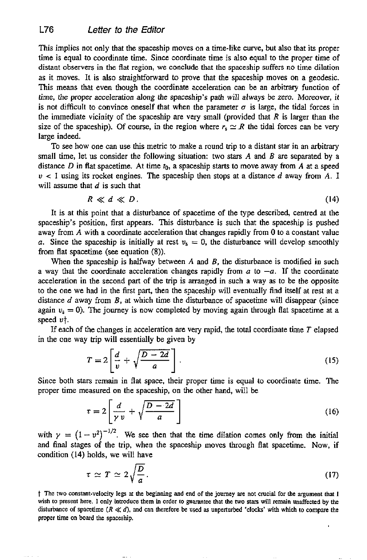This implies not only that the spaceship moves on a time-like curve, but also that its proper time is equal to coordinate time. Since coordinate time is also equal to the proper time of distant observers in the flat region, we conclude that the spaceship suffers no time dilation as it moves. It is also straightforward *to* prove that the spaceship moves on a geodesic. This means that even though the coordinate acceleration can be an arbitrary function of time, the proper acceleration *along* the spaceship's path will always be zero. Moreover, it is not difficult to convince oneself that when the parameter  $\sigma$  is large, the tidal forces in the immediate vicinity of the spaceship are very small (provided that *R* is larger than the size of the spaceship). Of course, in the region where  $r_s \simeq R$  the tidal forces can be very large indeed.

To see how one can use this metric to make a round trip to a distant star in an arbitrary small time, let us consider the following situation: two stars **A** and *B* are separated by a distance *D* in flat spacetime. At time  $t_0$ , a spaceship starts to move away from *A* at a speed  $v < 1$  using its rocket engines. The spaceship then stops at a distance d away from A. I will assume that *d* is such that

$$
R \ll d \ll D. \tag{14}
$$

It is at this point that a disturbance of spacetime *of* the type described, centred at the spaceship's position, first appears. This disturbance is such that the spaceship is pushed away **from** *A* with a coordinate acceleration that changes rapidly from 0 to a constant value *a.* Since the spaceship is initially at rest  $v_s = 0$ , the disturbance will develop smoothly from flat spacetime (see equation (8)).

When the spaceship is halfway between *A* and *B,* the disturbance is modified in such a way that the coordinate acceleration changes rapidly from  $a$  to  $-a$ . If the coordinate acceleration in the second part of the trip is arranged in such a way **as** to be the opposite to the one we had in the first part, then the spaceship will eventually find itself at rest at a distance d away from *B,* at which time the disturbance of spacetime will disappear (since again  $v_s = 0$ ). The journey is now completed by moving again through flat spacetime at a speed *ut.* 

If each of the changes in acceleration are very rapid, the total coordinate time *T* elapsed in the one way trip will essentially be given by

$$
T = 2\left[\frac{d}{v} + \sqrt{\frac{D - 2d}{a}}\right].
$$
 (15)

Since both stars remain in flat space, their proper time is equal to coordinate time. The proper time measured on the spaceship, on the other hand, will be

$$
\begin{bmatrix} v & V & a \end{bmatrix}
$$
  
rs remain in flat space, their proper time is equal to coordinate time. The  
easured on the spaceship, on the other hand, will be  

$$
\tau = 2 \left[ \frac{d}{\gamma v} + \sqrt{\frac{D - 2d}{a}} \right]
$$
(16)

with  $\gamma = (1 - v^2)^{-1/2}$ . We see then that the time dilation comes only from the initial and final stages *of* the trip, when the spaceship moves through flat spacetime. Now, if condition (14) holds, we will have

holds, we will have  
\n
$$
\tau \simeq T \simeq 2\sqrt{\frac{D}{a}}.
$$
\n(17)

t **The two constant-velocity legs** *at* **the beginning and end of the journey are not** crucial **for** the **argument** *that* **<sup>I</sup> wish to present here. I only introduce** them **in order to guarantee that** lhe *WO* **stars will remain unaffected by** *the*  disturbance of spacetime  $(R \ll d)$ , and can therefore be used as unperturbed 'clocks' with which to compare the **proper time on board** the **spxeship.**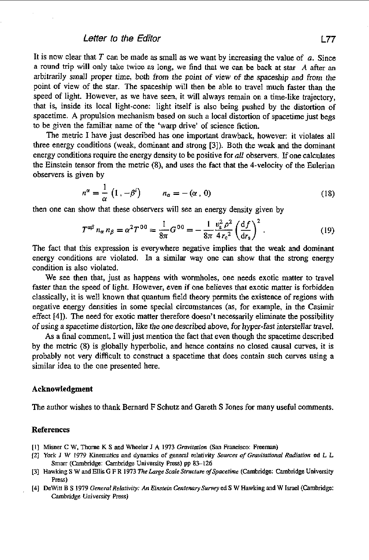### *Letter* to *the* Edifor **L77**

It is now clear that *T* can be made as small **as** we want by increasing the value of *a.* Since a round trip will only take twice as long, we find that we can be back at **star** *A* after **an**  arbitrarily small proper time, both from the point of view of the spaceship **and** from the point of view of the star. The spaceship will then be able to travel much faster than the speed of light. However, as we have seen, it will always remain on a time-like trajectory, that is, inside its local light-cone: light itself is also being pushed by the distortion *of*  spacetime. **A** propulsion mechanism based on such a local distortion of spacetime just **begs**  to be given the familiar name of the 'warp drive' of science fiction.

The metric I have just described has one important drawback, however: it violates all three energy conditions (weak, dominant and strong **[3]).** Both the weak and the dominant energy conditions require the energy density to be positive for *all* observers. If one calculates the Einstein tensor from the metric **(8).** and uses the fact that the 4-velocity of the Eulerian observers is given by

$$
n^{\alpha} = \frac{1}{\alpha} \left( 1 \, , -\beta^{i} \right) \qquad n_{\alpha} = -\left( \alpha \, , \, 0 \right) \tag{18}
$$

then one **can** show that these observers will see an energy density given by

$$
T^{\alpha\beta} n_{\alpha} n_{\beta} = \alpha^2 T^{00} = \frac{1}{8\pi} G^{00} = -\frac{1}{8\pi} \frac{v_s^2 \rho^2}{4 r_c^2} \left(\frac{df}{dr_s}\right)^2.
$$
 (19)

The fact that this expression is everywhere negative implies that the weak and dominant energy conditions are violated. In a similar way one can show that the strong energy condition is **also** violated.

We see then that, just as happens with wormholes, one needs exotic matter to travel faster than the speed of light. However, even if one believes that exotic matter is forbidden classically, it is well known that quantum field theory permits the existence of regions with negative energy densities in some special circumstances (as, for example, in the Casimir effect **[4]).** The need for exotic matter therefore doesn't necessarily eliminate the possibility *of* using a spacetime distortion, like the one described above, for hyper-fast interstellar travel.

**As** a final comment, I will just mention the fact that even though the spacetime described by the metric (8) is globally hyperbolic, and hence contains no closed causal curves, it is probably not very difficult to construct a spacetime that does contain such curves using **a**  similar idea *to* the one presented here.

#### Acknowledgment

The author wishes to thank Bernard F Schutz and Gareth S Jones **for** many useful comments.

#### References

- **[I] Misner C W. Thorne K S and Wheeler J A 1973** *Graviraion* **(San Francisco: Freeman)**
- **121** *York J* **W** *1979* **Kinematics and dynamics of general Elativity** *Soumes of GmvimtionaI Radiation* **ed L L Smarr (Cambridge: Cambridge University** Press) **pp 8>126**
- **[31 Hawking S W and Ellis G F R 1973 7'ke** *Large Scale Srrucrure ofSpncerime* **(Cambridge: Cambridge Univesily**  Press)
- **[4] DeWin B** *S* **1979** *General Relariviry: An &insrein Cenlemwy Sumey* **ed S W Hawking and W Israel (Cambridge: Cambridge Univeniiy** *Press)*